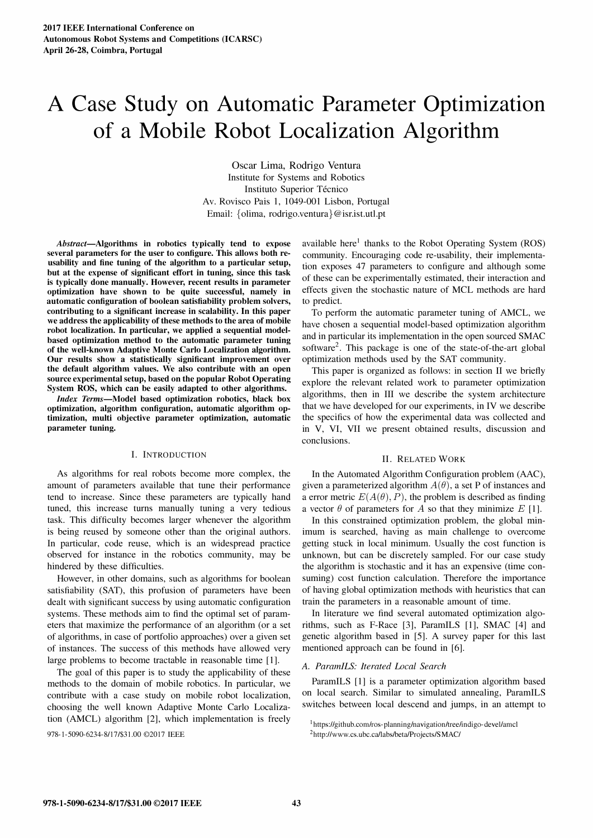# A Case Study on Automatic Parameter Optimization of a Mobile Robot Localization Algorithm

Oscar Lima, Rodrigo Ventura Institute for Systems and Robotics Instituto Superior Técnico Av. Rovisco Pais 1, 1049-001 Lisbon, Portugal Email: {olima. rodrigo.ventura}@isr.ist.utl.pt

Abstract-Algorithms in robotics typically tend to expose several parameters for the user to configure. This allows both reusability and fine tuning of the algorithm to a particular setup, but at the expense of significant effort in tuning, since this task is typically done manually. However, recent results in parameter optimization have shown to be quite successful, namely in automatic configuration of boolean satisfiability problem solvers, contributing to a significant increase in scalability. In this paper we address the applicability of these methods to the area of mobile robot localization. In particular, we applied a sequential modelbased optimization method to the automatic parameter tuning of the well-known Adaptive Monte Carlo Localization algorithm. Our results show a statistically significant improvement over the default algorithm values. We also contribute with an open source experimental setup, based on the popular Robot Operating System ROS, which can be easily adapted to other algorithms.

Index Terms-Model based optimization robotics, black box optimization, algorithm configuration, automatic algorithm optimization, multi objective parameter optimization, automatic parameter tuning.

# I. INTRODUCTION

As algorithms for real robots become more complex, the amount of parameters available that tune their performance tend to increase. Since these parameters are typically hand tuned, this increase turns manually tuning a very tedious task. This difficulty becomes larger whenever the algorithm is being reused by someone other than the original authors. In particular, code reuse, which is an widespread practice observed for instance in the robotics community, may be hindered by these difficulties.

However, in other domains, such as algorithms for boolean satisfiability (SAT), this profusion of parameters have been dealt with significant success by using automatic configuration systems. These methods aim to find the optimal set of parameters that maximize the performance of an algorithm (or a set of algorithms, in case of portfolio approaches) over a given set of instances. The success of this methods have allowed very large problems to become tractable in reasonable time [1].

The goal of this paper is to study the applicability of these methods to the domain of mobile robotics. In particular, we contribute with a case study on mobile robot localization, choosing the well known Adaptive Monte Carlo Localization (AMCL) algorithm [2], which implementation is freely

978-1-5090-6234-8/17/\$31.00 ©2017 IEEE

available here<sup>1</sup> thanks to the Robot Operating System  $(ROS)$ community. Encouraging code re-usability, their implementation exposes 47 parameters to configure and although some of these can be experimentally estimated, their interaction and effects given the stochastic nature of MCL methods are hard to predict.

To perform the automatic parameter tuning of AMCL, we have chosen a sequential model-based optimization algorithm and in particular its implementation in the open sourced SMAC software<sup>2</sup>. This package is one of the state-of-the-art global optimization methods used by the SAT community.

This paper is organized as follows: in section 11 we briefly explore the relevant related work to parameter optimization algorithms, then in III we describe the system architecture that we have developed for our experiments, in IV we describe the specifics of how the experimental data was collected and in V, VI, VII we present obtained results, discussion and conclusions.

#### 11. RELATED WORK

In the Automated Algorithm Configuration problem (AAC), given a parameterized algorithm  $A(\theta)$ , a set P of instances and a error metric  $E(A(\theta), P)$ , the problem is described as finding a vector  $\theta$  of parameters for A so that they minimize E [1].

In this constrained optimization problem, the global minimum is searched, having as main challenge to overcome getting stuck in local minimum. Usually the cost function is unknown, but can be discretely sampled. For our case study the algorithm is stochastic and it has an expensive (time consuming) cost function calculation. Therefore the importance of having global optimization methods with heuristics that can train the parameters in a reasonable amount of time.

In literature we find several automated optimization algorithms, such as F-Race [3], ParamILS [1], SMAC [4] and genetic algorithm based in [5]. A survey paper for this last mentioned approach can be found in [6].

#### A. ParamILS: Iterated Local Search

ParamILS [1] is a parameter optimization algorithm based on local search. Similar to simulated annealing, ParamILS switches between local descend and jumps, in an attempt to

<sup>1</sup>https://github.com/ros-planning/navigation/tree/indigo-devel/amc1

<sup>&</sup>lt;sup>2</sup>http://www.cs.ubc.ca/labs/beta/Projects/SMAC/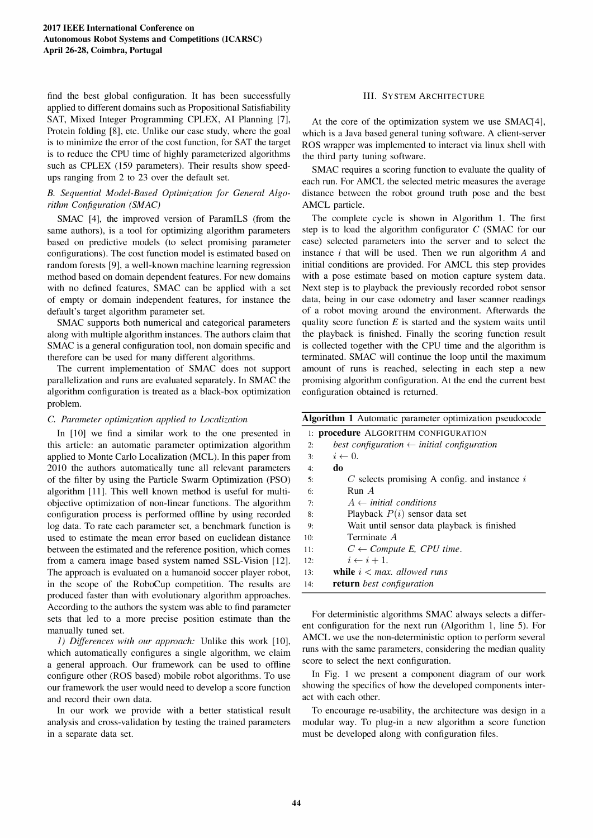find the best global configuration. It has been successfully applied to different domains such as Propositional Satisfiability SAT, Mixed Integer Programming CPLEX, AI Planning [7], Protein folding [8], etc. Unlike our case study, where the goal is to minimize the error of the cost function, for SAT the target is to reduce the CPU time of highly parameterized algorithms such as CPLEX (159 parameters). Their results show speedups ranging from 2 to 23 over the default set.

# B. Sequential Model-Based Optimization for General Algorithm Configuration (SMAC)

SMAC [4], the improved version of ParamILS (from the same authors), is a tool for optimizing algorithm parameters based on predictive models (to select promising parameter configurations). The cost function model is estimated based on random forests [9], a well-known machine learning regression method based on domain dependent features. For new domains with no defined features, SMAC can be applied with a set of empty or domain independent features, for instance the default's target algorithm parameter set.

SMAC supports both numerical and categorical parameters along with multiple algorithm instances. The authors claim that SMAC is a general configuration tool, non domain specific and therefore can be used for many different algorithms.

The current implementation of SMAC does not support parallelization and runs are evaluated separately. In SMAC the algorithm configuration is treated as a black-box optimization problem.

# C. Parameter optimization applied to Localization

In [10] we find a similar work to the one presented in this article: an automatic parameter optimization algorithm applied to Monte Carlo Localization (MCL). In this paper from 2010 the authors automatically tune all relevant parameters of the filter by using the Particle Swarm Optimization (PSO) algorithm [11]. This well known method is useful for multiobjective optimization of non-linear functions. The algorithm configuration process is performed offiine by using recorded log data. To rate each parameter set, a benchmark function is used to estimate the mean error based on euclidean distance between the estimated and the reference position, which comes from a camera image based system named SSL-Vision [12]. The approach is evaluated on a humanoid soccer player robot, in the scope of the RoboCup competition. The results are produced faster than with evolutionary algorithm approaches. According to the authors the system was able to find parameter sets that led to a more precise position estimate than the manually tuned set.

1) Differences with our approach: Unlike this work [10], which automatically configures a single algorithm, we claim a general approach. Our framework can be used to offiine configure other (ROS based) mobile robot algorithms. To use our framework the user would need to develop a score function and record their own data.

In our work we provide with a better statistical result analysis and cross-validation by testing the trained parameters in a separate data set.

# Ill. SYSTEM ARCHITECTURE

At the core of the optimization system we use SMAC[4], which is a Java based general tuning software. A client-server ROS wrapper was implemented to interact via linux shell with the third party tuning software.

SMAC requires a scoring function to evaluate the quality of each run. For AMCL the selected metric measures the average distance between the robot ground truth pose and the best AMCL particle.

The complete cycle is shown in Algorithm 1. The first step is to load the algorithm configurator C (SMAC for our case) selected parameters into the server and to select the instance  $i$  that will be used. Then we run algorithm  $A$  and initial conditions are provided. For AMCL this step provides with a pose estimate based on motion capture system data. Next step is to playback the previously recorded robot sensor data, being in our case odometry and laser scanner readings of a robot moving around the environment. Afterwards the quality score function  $E$  is started and the system waits until the playback is finished. Finally the scoring function result is collected together with the CPU time and the algorithm is terminated. SMAC will continue the loop until the maximum amount of runs is reached, selecting in each step a new promising algorithm configuration. At the end the current best configuration obtained is returned.

| <b>Algorithm 1</b> Automatic parameter optimization pseudocode |                                                       |  |  |  |
|----------------------------------------------------------------|-------------------------------------------------------|--|--|--|
|                                                                | 1: <b>procedure</b> ALGORITHM CONFIGURATION           |  |  |  |
| 2:                                                             | best configuration $\leftarrow$ initial configuration |  |  |  |
| 3:                                                             | $i \leftarrow 0$ .                                    |  |  |  |
| 4:                                                             | do                                                    |  |  |  |
| 5:                                                             | $C$ selects promising A config. and instance $i$      |  |  |  |
| 6:                                                             | Run A                                                 |  |  |  |
| 7:                                                             | $A \leftarrow initial conditions$                     |  |  |  |
| 8:                                                             | Playback $P(i)$ sensor data set                       |  |  |  |
| 9:                                                             | Wait until sensor data playback is finished           |  |  |  |
| 10:                                                            | Terminate A                                           |  |  |  |
| 11:                                                            | $C \leftarrow Compute E$ , CPU time.                  |  |  |  |
| 12:                                                            | $i \leftarrow i + 1$ .                                |  |  |  |
| 13:                                                            | while $i < max$ allowed runs                          |  |  |  |
| 14:                                                            | return best configuration                             |  |  |  |

For deterministic algorithms SMAC always selects a different configuration for the next run (Algorithm 1, line 5). For AMCL we use the non-deterministic option to perform several runs with the same parameters, considering the median quality score to select the next configuration.

In Fig. 1 we present a component diagram of our work showing the specifics of how the developed components interact with each other.

To encourage re-usability, the architecture was design in a modular way. To plug-in a new algorithm a score function must be developed along with configuration files.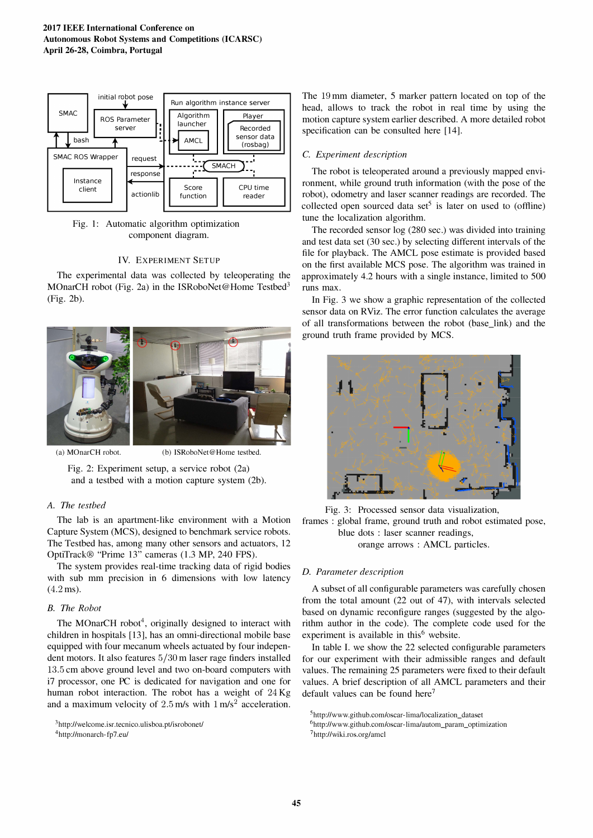

Fig. 1: Automatic algorithm optimization component diagram.

## IV. EXPERIMENT SETUP

The experimental data was collected by teleoperating the MOnarCH robot (Fig. 2a) in the ISRoboNet@Home Testbed<sup>3</sup> (Fig. 2b).



(a) MOnarCH robot. (b) ISRoboNet@Home testbed.

Fig. 2: Experiment setup, a service robot (2a) and a testbed with a motion capture system (2b).

# A. The testbed

The lab is an apartment-like environment with a Motion Capture System (MCS), designed to benchmark service robots. The Testbed has, among many other sensors and actuators, 12 OptiTrack® "Prime 13" cameras (1.3 MP, 240 FPS).

The system provides real-time tracking data of rigid bodies with sub mm precision in 6 dimensions with low latency  $(4.2 \,\text{ms})$ .

### B. The Robot

The MOnarCH robot<sup>4</sup>, originally designed to interact with children in hospitals [13], has an omni-directional mobile base equipped with four mecanum wheels actuated by four independent motors. It also features 5/30 m laser rage finders installed 13.5 cm above ground level and two on-board computers with i7 processor, one PC is dedicated for navigation and one for human robot interaction. The robot has a weight of 24 Kg and a maximum velocity of  $2.5$  m/s with  $1 \text{ m/s}^2$  acceleration.

4http://monarch-fp7.eul

The 19 mm diameter, S marker pattern located on top of the head, allows to track the robot in real time by using the motion capture system earlier described. A more detailed robot specification can be consulted here [14].

### C. Experiment description

The robot is teleoperated around a previously mapped environment, while ground truth information (with the pose of the robot), odometry and laser scanner readings are recorded. The collected open sourced data set<sup>5</sup> is later on used to (offline) tune the localization algorithm.

The recorded sensor log (280 sec.) was divided into training and test data set (30 sec.) by selecting different intervals of the file for playback. The AMCL pose estimate is provided based on the first available MCS pose. The algorithm was trained in approximately 4.2 hours with a single instance, limited to 500 runs max.

In Fig. 3 we show a graphic representation of the collected sensor data on RViz. The error function calculates the average of all transformations between the robot (base\_link) and the ground truth frame provided by MCS.





## D. Parameter description

A subset of all configurable parameters was carefully chosen from the total amount (22 out of 47), with intervals selected based on dynamic reconfigure ranges (suggested by the algorithm author in the code). The complete code used for the experiment is available in this $6$  website.

In table I. we show the 22 selected configurable parameters for our experiment with their admissible ranges and default values. The remaining 25 parameters were fixed to their default values. A brief description of all AMCL parameters and their default values can be found here<sup>7</sup>

<sup>3</sup>http://welcome.isr.tecnico.ulisboa.pt/isrobonet/

<sup>5</sup>http://www.github.com/oscar-limallocalization\_dataset

<sup>6</sup>http://www.github.com/oscar-limalautom\_param\_optimization 7http://wiki.ros.org/amcl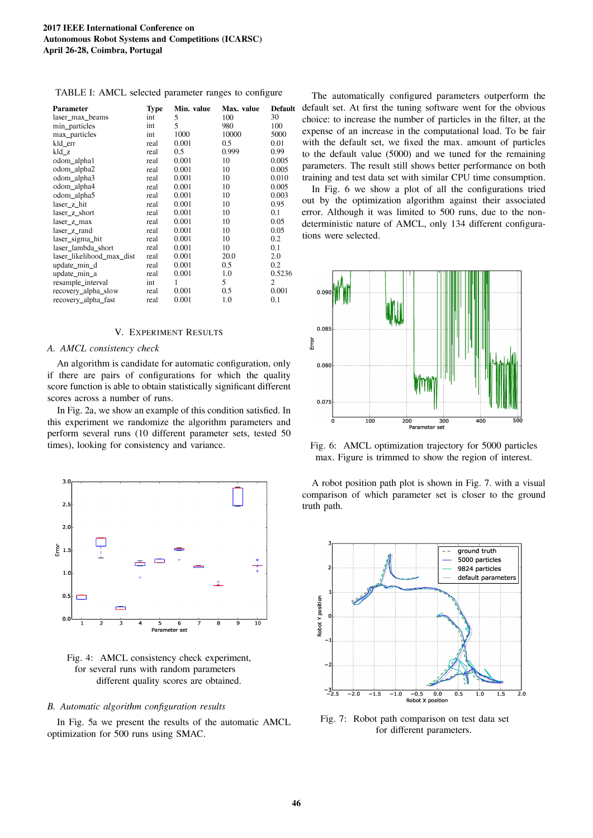| TABLE I: AMCL selected parameter ranges to configure |  |  |
|------------------------------------------------------|--|--|
|------------------------------------------------------|--|--|

| <b>Parameter</b>          | <b>Type</b> | Min. value | Max. value | <b>Default</b> |
|---------------------------|-------------|------------|------------|----------------|
| laser max beams           | int         | 5          | 100        | 30             |
| min particles             | int         | 5          | 980        | 100            |
| max_particles             | int         | 1000       | 10000      | 5000           |
| kld_err                   | real        | 0.001      | 0.5        | 0.01           |
| kld z                     | real        | 0.5        | 0.999      | 0.99           |
| odom_alpha1               | real        | 0.001      | 10         | 0.005          |
| odom_alpha2               | real        | 0.001      | 10         | 0.005          |
| odom_alpha3               | real        | 0.001      | 10         | 0.010          |
| odom_alpha4               | real        | 0.001      | 10         | 0.005          |
| odom_alpha5               | real        | 0.001      | 10         | 0.003          |
| laser z hit               | real        | 0.001      | 10         | 0.95           |
| laser z short             | real        | 0.001      | 10         | 0.1            |
| laser_z_max               | real        | 0.001      | 10         | 0.05           |
| laser_z_rand              | real        | 0.001      | 10         | 0.05           |
| laser_sigma_hit           | real        | 0.001      | 10         | 0.2            |
| laser_lambda_short        | real        | 0.001      | 10         | 0.1            |
| laser likelihood max dist | real        | 0.001      | 20.0       | 2.0            |
| update_min_d              | real        | 0.001      | 0.5        | 0.2            |
| update_min_a              | real        | 0.001      | 1.0        | 0.5236         |
| resample_interval         | int         | 1          | 5          | 2              |
| recovery_alpha_slow       | real        | 0.001      | 0.5        | 0.001          |
| recovery_alpha_fast       | real        | 0.001      | 1.0        | 0.1            |

#### V. EXPERIMENT RESULTS

#### A. AMCL consistency check

An algorithm is candidate for automatic configuration. only if there are pairs of configurations for which the quality score function is able to obtain statistically significant different scores across a number of runs.

In Fig. 2a. we show an example of this condition satisfied. In this experiment we randomize the algorithm parameters and perform several runs (10 different parameter sets, tested 50 times), looking for consistency and variance.



Fig. 4: AMCL consistency check experiment, for several runs with random parameters different quality scores are obtained.

#### B. Automatic algorithm configuration results

In Fig. 5a we present the results of the automatic AMCL optimization for 500 runs using SMAC.

The automatically configured parameters outperform the default set. At first the tuning software went for the obvious choice: to increase the number of particles in the filter, at the expense of an increase in the computational load. To be fair with the default set, we fixed the max. amount of particles to the default value (5000) and we tuned for the remaining parameters. The result still shows better performance on both training and test data set with similar CPU time consumption.

In Fig. 6 we show a plot of all the configurations tried out by the optimization algorithm against their associated error. Although it was limited to 500 runs, due to the nondeterministic nature of AMCL, only 134 different configurations were selected.



Fig. 6: AMCL optimization trajectory for 5000 particles max. Figure is trimmed to show the region of interest.

A robot position path plot is shown in Fig. 7. with a visual comparison of which parameter set is closer to the ground truth path.



Fig. 7: Robot path comparison on test data set for different parameters.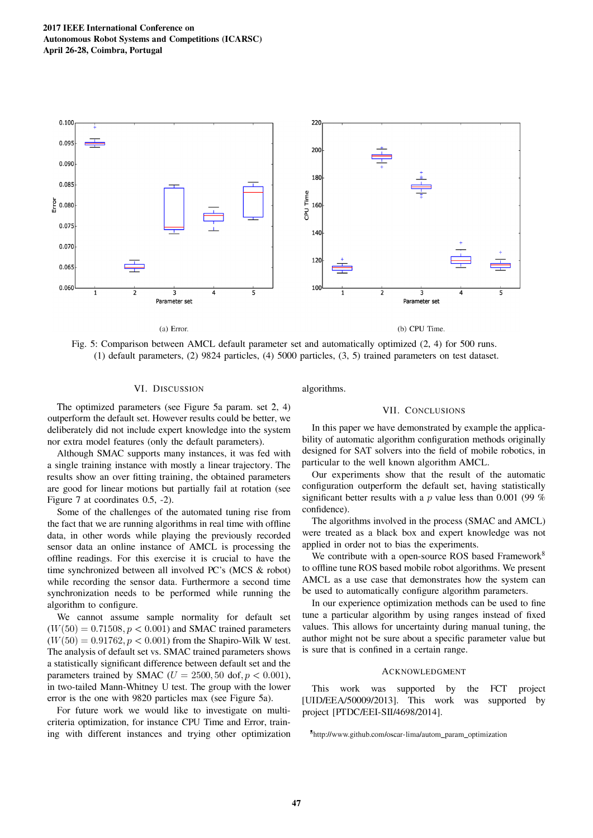

Fig. 5: Comparison between AMCL default parameter set and automatically optimized (2, 4) for 500 runs. (1) default parameters, (2) 9824 particles, (4) 5000 particles, (3, 5) trained parameters on test dataset.

### VI. DISCUSSION

The optimized parameters (see Figure 5a param. set 2, 4) outperform the default set. However results could be better, we deliberately did not include expert knowledge into the system nor extra model features (only the default parameters).

Although SMAC supports many instances, it was fed with a single training instance with mostly a linear trajectory. The results show an over fitting training, the obtained parameters are good for linear motions but partially fail at rotation (see Figure 7 at coordinates 0.5, -2).

Some of the challenges of the automated tuning rise from the fact that we are running algorithms in real time with offline data, in other words while playing the previously recorded sensor data an online instance of AMCL is processing the offline readings. For this exercise it is crucial to have the time synchronized between all involved PC's (MCS & robot) while recording the sensor data. Furthermore a second time synchronization needs to be performed while running the algorithm to configure.

We cannot assume sample normality for default set  $(W(50) = 0.71508, p < 0.001)$  and SMAC trained parameters  $(W(50) = 0.91762, p < 0.001)$  from the Shapiro-Wilk W test. The analysis of default set vs. SMAC trained parameters shows a statistically significant difference between default set and the parameters trained by SMAC ( $U = 2500, 50$  dof,  $p < 0.001$ ), in two-tailed Mann-Whitney U test. The group with the lower error is the one with 9820 particles max (see Figure 5a).

For future work we would like to investigate on multicriteria optimization, for instance CPU Time and Error, training with different instances and trying other optimization

## algorithms.

# VII. CONCLUSIONS

In this paper we have demonstrated by example the applicability of automatic algorithm configuration methods originally designed for SAT solvers into the field of mobile robotics, in particular to the well known algorithm AMCL.

Our experiments show that the result of the automatic configuration outperform the default set, having statistically significant better results with a p value less than 0.001 (99  $%$ confidence).

The algorithms involved in the process (SMAC and AMCL) were treated as a black box and expert knowledge was not applied in order not to bias the experiments.

We contribute with a open-source ROS based Framework<sup>8</sup> to offline tune ROS based mobile robot algorithms. We present AMCL as a use case that demonstrates how the system can be used to automatically configure algorithm parameters.

In our experience optimization methods can be used to fine tune a particular algorithm by using ranges instead of fixed values. This allows for uncertainty during manual tuning, the author might not be sure about a specific parameter value but is sure that is confined in a certain range.

#### ACKNOWLEDGMENT

This work was supported by the [UID/EEA/50009/2013]. This work was project [PTDC/EEI-SII/4698/2014]. FCT project supported by

<sup>8</sup>http://www.github.com/oscar-limalautom\_param\_optimization